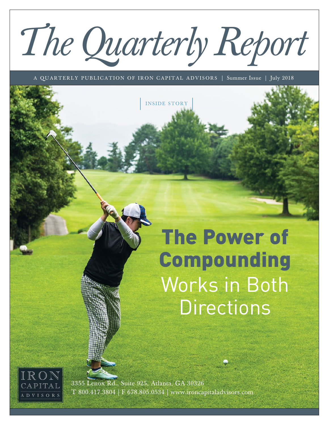# *The Quarterly Report*

A QUARTERLY PUBLICATION OF IRON CAPITAL ADVISORS | Summer Issue | July 2018

INSIDE STORY

The Power of Compounding Works in Both **Directions** 



3355 Lenox Rd., Suite 925, Atlanta, GA 30326 T 800.417.3804 | F 678.805.0534 | www.ironcapitaladvisors.com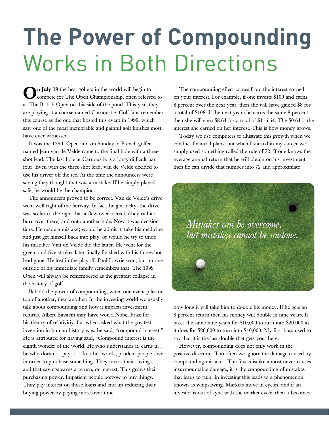## **The Power of Compounding**  Works in Both Directions

On July 19 the best golfers in the world will begin to compete for The Open Championship, often referred to as The British Open on this side of the pond. This year they are playing at a course named Carnoustie. Golf fans remember this course as the one that hosted this event in 1999, which saw one of the most memorable and painful golf finishes most have ever witnessed.

It was the 128th Open and on Sunday, a French golfer named Jean van de Velde came to the final hole with a threeshot lead. The last hole at Carnoustie is a long, difficult par four. Even with the three-shot lead, van de Velde decided to use his driver off the tee. At the time the announcers were saying they thought that was a mistake. If he simply played safe, he would be the champion.

The announcers proved to be correct. Van de Velde's drive went well right of the fairway. In fact, he got lucky: the drive was so far to the right that it flew over a creek (they call it a burn over there) and onto another hole. Now it was decision time. He made a mistake; would he admit it, take his medicine and just get himself back into play, or would he try to undo his mistake? Van de Velde did the latter. He went for the green, and five strokes later finally finished with his three-shot lead gone. He lost in the playoff. Paul Lawrie won, but no one outside of his immediate family remembers that. The 1999 Open will always be remembered as the greatest collapse in the history of golf.

Behold the power of compounding, when one event piles on top of another, then another. In the investing world we usually talk about compounding and how it impacts investment returns. Albert Einstein may have won a Nobel Prize for his theory of relativitiy, but when asked what the greatest invention in human history was, he said, "compound interest." He is attributed for having said, "Compound interest is the eighth wonder of the world. He who understands it, earns it… he who doesn't…pays it." In other words, prudent people save in order to purchase something. They invest their savings, and that savings earns a return, or interest. This grows their purchasing power. Impatient people borrow to buy things. They pay interest on those loans and end up reducing their buying power by paying more over time.

The compounding effect comes from the interest earned on your interest. For example, if one invests \$100 and earns 8 percent over the next year, then she will have gained \$8 for a total of \$108. If the next year she earns the same 8 percent, then she will earn \$8.64 for a total of \$116.64. The \$0.64 is the interest she earned on her interest. This is how money grows.

Today we use computers to illustrate this growth when we conduct financial plans, but when I started in my career we simply used something called the rule of 72. If one knows the average annual return that he will obtain on his investment, then he can divide that number into 72 and approximate



how long it will take him to double his money. If he gets an 8 percent return then his money will double in nine years. It takes the same nine years for \$10,000 to turn into \$20,000 as it does for \$20,000 to turn into \$40,000. My first boss used to say that it is the last double that gets you there.

However, compounding does not only work in the positive direction. Too often we ignore the damage caused by compounding mistakes. The first mistake almost never causes insurmountable damage, it is the compounding of mistakes that leads to ruin. In investing this leads to a phenomenon known as whipsawing. Markets move in cycles, and if an investor is out of sync with the market cycle, then it becomes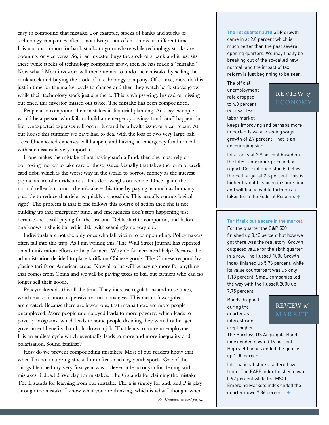easy to compound that mistake. For example, stocks of banks and stocks of technology companies often – not always, but often – move at different times. It is not uncommon for bank stocks to go nowhere while technology stocks are booming, or vice versa. So, if an investor buys the stock of a bank and it just sits there while stocks of technology companies grow, then he has made a "mistake." Now what? Most investors will then attempt to undo their mistake by selling the bank stock and buying the stock of a technology company. Of course, most do this just in time for the market cycle to change and then they watch bank stocks grow while their technology stock just sits there. This is whipsawing. Instead of missing out once, this investor missed out twice. The mistake has been compounded.

People also compound their mistakes in financial planning. An easy example would be a person who fails to build an emergency savings fund. Stuff happens in life. Unexpected expenses will occur. It could be a health issue or a car repair. At our house this summer we have had to deal with the loss of two very large oak trees. Unexpected expenses will happen, and having an emergency fund to deal with such issues is very important.

If one makes the mistake of not having such a fund, then she must rely on borrowing money to take care of these issues. Usually that takes the form of credit card debt, which is the worst way in the world to borrow money as the interest payments are often ridiculous. This debt weighs on people. Once again, the normal reflex is to undo the mistake – this time by paying as much as humanly possible to reduce that debt as quickly as possible. This actually sounds logical, right? The problem is that if one follows this course of action then she is not building up that emergency fund, and emergencies don't stop happening just because she is still paying for the last one. Debts start to compound, and before one knows it she is buried in debt with seemingly no way out.

Individuals are not the only ones who fall victim to compounding. Policymakers often fall into this trap. As I am writing this, The Wall Street Journal has reported on administration efforts to help farmers. Why do farmers need help? Because the administration decided to place tariffs on Chinese goods. The Chinese respond by placing tariffs on American crops. Now all of us will be paying more for anything that comes from China and we will be paying taxes to bail out farmers who can no longer sell their goods.

Policymakers do this all the time. They increase regulations and raise taxes, which makes it more expensive to run a business. This means fewer jobs are created. Because there are fewer jobs, that means there are more people unemployed. More people unemployed leads to more poverty, which leads to poverty programs, which leads to some people deciding they would rather get government benefits than hold down a job. That leads to more unemployment. It is an endless cycle which eventually leads to more and more inequality and polarization. Sound familiar?

How do we prevent compounding mistakes? Most of our readers know that when I'm not analyzing stocks I am often coaching youth sports. One of the things I learned my very first year was a clever little acronym for dealing with mistakes. C.L.a.P.! We clap for mistakes. The C stands for claiming the mistake. The L stands for learning from our mistake. The a is simply for and, and P is play through the mistake. I know what you are thinking, which is what I thought when

#### **The 1st quarter 2018** GDP growth

came in at 2.0 percent which is much better than the past several opening quarters. We may finally be breaking out of the so-called new normal, and the impact of tax reform is just beginning to be seen.

The official unemployment rate dropped to 4.0 percent in June. The labor market

### REVIEW *of*

keeps improving and perhaps more importantly we are seeing wage growth of 2.7 percent. That is an encouraging sign.

Inflation is at 2.9 percent based on the latest consumer price index report. Core inflation stands below the Fed target at 2.3 percent. This is higher than it has been in some time and will likely lead to further rate hikes from the Federal Reserve. **+**

#### **Tariff talk put a scare in the market.** For the quarter the S&P 500

finished up 3.43 percent but how we got there was the real story. Growth outpaced value for the sixth quarter in a row. The Russell 1000 Growth index finished up 5.76 percent, while its value counterpart was up only 1.18 percent. Small companies led the way with the Russell 2000 up 7.75 percent.

Bonds dropped during the quarter as interest rate crept higher.

#### REVIEW *of*  MARKET

The Barclays US Aggregate Bond index ended down 0.16 percent. High yield bonds ended the quarter up 1.00 percent.

International stocks suffered over trade. The EAFE index finished down 0.97 percent while the MSCI Emerging Markets index ended the quarter down 7.86 percent. **+**

<sup>»</sup> *Continues on next page...*